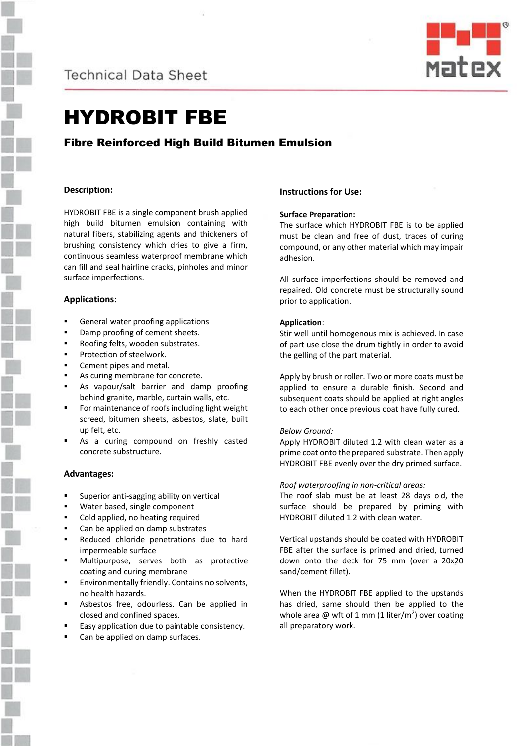



# HYDROBIT FBE

# Fibre Reinforced High Build Bitumen Emulsion

### **Description:**

HYDROBIT FBE is a single component brush applied high build bitumen emulsion containing with natural fibers, stabilizing agents and thickeners of brushing consistency which dries to give a firm, continuous seamless waterproof membrane which can fill and seal hairline cracks, pinholes and minor surface imperfections.

## **Applications:**

- General water proofing applications
- Damp proofing of cement sheets.
- Roofing felts, wooden substrates.
- Protection of steelwork.
- Cement pipes and metal.
- As curing membrane for concrete.
- As vapour/salt barrier and damp proofing behind granite, marble, curtain walls, etc.
- For maintenance of roofs including light weight screed, bitumen sheets, asbestos, slate, built up felt, etc.
- As a curing compound on freshly casted concrete substructure.

### **Advantages:**

- Superior anti-sagging ability on vertical
- Water based, single component
- Cold applied, no heating required
- Can be applied on damp substrates
- Reduced chloride penetrations due to hard impermeable surface
- Multipurpose, serves both as protective coating and curing membrane
- Environmentally friendly. Contains no solvents, no health hazards.
- Asbestos free, odourless. Can be applied in closed and confined spaces.
- Easy application due to paintable consistency.
- Can be applied on damp surfaces.

## **Instructions for Use:**

### **Surface Preparation:**

The surface which HYDROBIT FBE is to be applied must be clean and free of dust, traces of curing compound, or any other material which may impair adhesion.

All surface imperfections should be removed and repaired. Old concrete must be structurally sound prior to application.

### **Application**:

Stir well until homogenous mix is achieved. In case of part use close the drum tightly in order to avoid the gelling of the part material.

Apply by brush or roller. Two or more coats must be applied to ensure a durable finish. Second and subsequent coats should be applied at right angles to each other once previous coat have fully cured.

### *Below Ground:*

Apply HYDROBIT diluted 1.2 with clean water as a prime coat onto the prepared substrate. Then apply HYDROBIT FBE evenly over the dry primed surface.

*Roof waterproofing in non-critical areas:*

The roof slab must be at least 28 days old, the surface should be prepared by priming with HYDROBIT diluted 1.2 with clean water.

Vertical upstands should be coated with HYDROBIT FBE after the surface is primed and dried, turned down onto the deck for 75 mm (over a 20x20 sand/cement fillet).

When the HYDROBIT FBE applied to the upstands has dried, same should then be applied to the whole area  $@$  wft of 1 mm (1 liter/m<sup>2</sup>) over coating all preparatory work.